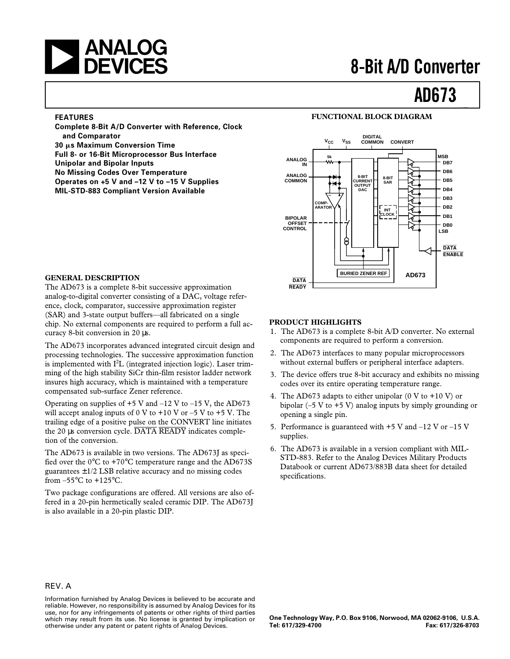# **ANALOG<br>A DEVICES** 8-Bit A/D Converter

# **AD673**

#### **FEATURES**

**Complete 8-Bit A/D Converter with Reference, Clock and Comparator 30** m**s Maximum Conversion Time Full 8- or 16-Bit Microprocessor Bus Interface Unipolar and Bipolar Inputs No Missing Codes Over Temperature Operates on +5 V and –12 V to –15 V Supplies MIL-STD-883 Compliant Version Available**

#### **FUNCTIONAL BLOCK DIAGRAM**



#### **GENERAL DESCRIPTION**

The AD673 is a complete 8-bit successive approximation analog-to-digital converter consisting of a DAC, voltage reference, clock, comparator, successive approximation register (SAR) and 3-state output buffers—all fabricated on a single chip. No external components are required to perform a full accuracy 8-bit conversion in 20 µs.

The AD673 incorporates advanced integrated circuit design and processing technologies. The successive approximation function is implemented with  $I<sup>2</sup>L$  (integrated injection logic). Laser trimming of the high stability SiCr thin-film resistor ladder network insures high accuracy, which is maintained with a temperature compensated sub-surface Zener reference.

Operating on supplies of  $+5$  V and  $-12$  V to  $-15$  V, the AD673 will accept analog inputs of 0 V to  $+10$  V or  $-5$  V to  $+5$  V. The trailing edge of a positive pulse on the CONVERT line initiates the 20 µs conversion cycle. DATA READY indicates completion of the conversion.

The AD673 is available in two versions. The AD673J as specified over the 0°C to +70°C temperature range and the AD673S guarantees  $\pm 1/2$  LSB relative accuracy and no missing codes from  $-55^{\circ}$ C to  $+125^{\circ}$ C.

Two package configurations are offered. All versions are also offered in a 20-pin hermetically sealed ceramic DIP. The AD673J is also available in a 20-pin plastic DIP.

#### **PRODUCT HIGHLIGHTS**

- 1. The AD673 is a complete 8-bit A/D converter. No external components are required to perform a conversion.
- 2. The AD673 interfaces to many popular microprocessors without external buffers or peripheral interface adapters.
- 3. The device offers true 8-bit accuracy and exhibits no missing codes over its entire operating temperature range.
- 4. The AD673 adapts to either unipolar  $(0 \text{ V to } +10 \text{ V})$  or bipolar  $(-5 V to +5 V)$  analog inputs by simply grounding or opening a single pin.
- 5. Performance is guaranteed with  $+5$  V and  $-12$  V or  $-15$  V supplies.
- 6. The AD673 is available in a version compliant with MIL-STD-883. Refer to the Analog Devices Military Products Databook or current AD673/883B data sheet for detailed specifications.

#### REV. A

Information furnished by Analog Devices is believed to be accurate and reliable. However, no responsibility is assumed by Analog Devices for its use, nor for any infringements of patents or other rights of third parties which may result from its use. No license is granted by implication or otherwise under any patent or patent rights of Analog Devices.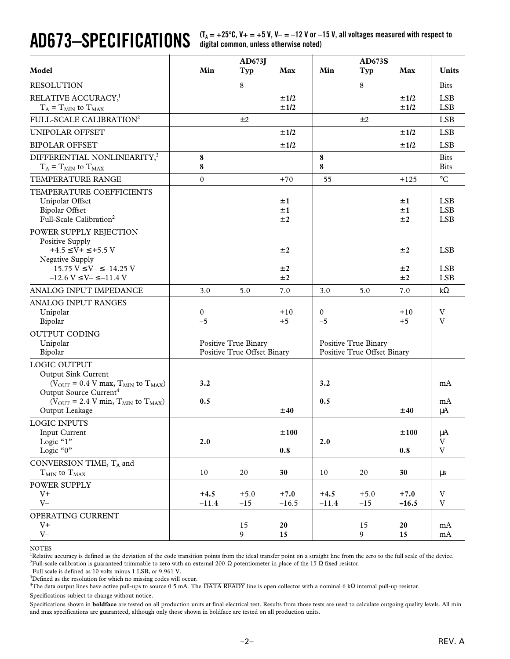**AD673–SPECIFICATIONS (TA = +25**8**C, V+ = +5 V, V– = –12 V or –15 V, all voltages measured with respect to digital common, unless otherwise noted)**

| Model                                                                                                                                                                                                                                                  | Min               | AD673J<br>Typ                                       | Max               | Min               | <b>AD673S</b><br><b>Typ</b>                         | Max               | <b>Units</b>                                        |
|--------------------------------------------------------------------------------------------------------------------------------------------------------------------------------------------------------------------------------------------------------|-------------------|-----------------------------------------------------|-------------------|-------------------|-----------------------------------------------------|-------------------|-----------------------------------------------------|
| <b>RESOLUTION</b>                                                                                                                                                                                                                                      |                   | 8                                                   |                   |                   | 8                                                   |                   | <b>Bits</b>                                         |
| RELATIVE ACCURACY, <sup>1</sup><br>$T_A = T_{MIN}$ to $T_{MAX}$                                                                                                                                                                                        |                   |                                                     | ±1/2<br>±1/2      |                   |                                                     | ±1/2<br>±1/2      | <b>LSB</b><br><b>LSB</b>                            |
| FULL-SCALE CALIBRATION <sup>2</sup>                                                                                                                                                                                                                    |                   | ±2                                                  |                   |                   | ±2                                                  |                   | <b>LSB</b>                                          |
| UNIPOLAR OFFSET                                                                                                                                                                                                                                        |                   |                                                     | ±1/2              |                   |                                                     | ±1/2              | <b>LSB</b>                                          |
| <b>BIPOLAR OFFSET</b>                                                                                                                                                                                                                                  |                   |                                                     | ±1/2              |                   |                                                     | ±1/2              | <b>LSB</b>                                          |
| DIFFERENTIAL NONLINEARITY, <sup>3</sup><br>$T_A = T_{MIN}$ to $T_{MAX}$                                                                                                                                                                                | 8<br>8            |                                                     |                   | 8<br>8            |                                                     |                   | <b>Bits</b><br><b>Bits</b>                          |
| TEMPERATURE RANGE                                                                                                                                                                                                                                      | $\theta$          |                                                     | $+70$             | $-55$             |                                                     | $+125$            | $\rm ^{\circ}C$                                     |
| TEMPERATURE COEFFICIENTS<br>Unipolar Offset<br><b>Bipolar Offset</b><br>Full-Scale Calibration <sup>2</sup>                                                                                                                                            |                   |                                                     | ±1<br>±1<br>±2    |                   |                                                     | ±1<br>±1<br>±2    | <b>LSB</b><br><b>LSB</b><br><b>LSB</b>              |
| POWER SUPPLY REJECTION<br>Positive Supply<br>$+4.5 \leq V + \leq +5.5 V$<br>Negative Supply<br>$-15.75$ V $\leq$ V $ \leq$ $-14.25$ V<br>$-12.6 V \le V - \le -11.4 V$                                                                                 |                   |                                                     | ±2<br>±2<br>±2    |                   |                                                     | ±2<br>±2          | <b>LSB</b><br><b>LSB</b><br><b>LSB</b>              |
| ANALOG INPUT IMPEDANCE                                                                                                                                                                                                                                 | 3.0               | 5.0                                                 | 7.0               | 3.0               | 5.0                                                 | ±2<br>7.0         | $k\Omega$                                           |
| ANALOG INPUT RANGES<br>Unipolar<br>Bipolar<br><b>OUTPUT CODING</b><br>Unipolar<br>Bipolar                                                                                                                                                              | 0<br>$-5$         | Positive True Binary<br>Positive True Offset Binary | $+10$<br>$+5$     | 0<br>$-5$         | Positive True Binary<br>Positive True Offset Binary | $+10$<br>$+5$     | V<br>V                                              |
| LOGIC OUTPUT<br><b>Output Sink Current</b><br>( $V_{\text{OUT}}$ = 0.4 V max, $T_{\text{MIN}}$ to $T_{\text{MAX}}$ )<br>Output Source Current <sup>4</sup><br>( $V_{\text{OUT}}$ = 2.4 V min, $T_{\text{MIN}}$ to $T_{\text{MAX}}$ )<br>Output Leakage | 3.2<br>0.5        |                                                     | ±40               | 3.2<br>0.5        |                                                     | ±40               | mA<br>mA<br>μA                                      |
| <b>LOGIC INPUTS</b><br><b>Input Current</b><br>Logic "1"<br>Logic "0"                                                                                                                                                                                  | 2.0               |                                                     | ±100<br>$0.8\,$   | 2.0               |                                                     | ±100<br>0.8       | $\mu A$<br>$\ensuremath{\mathbf{V}}$<br>$\mathbf V$ |
| CONVERSION TIME, $T_A$ and                                                                                                                                                                                                                             |                   |                                                     |                   |                   |                                                     |                   |                                                     |
| $T_{\rm MIN}$ to $T_{\rm MAX}$                                                                                                                                                                                                                         | 10                | 20                                                  | 30                | $10\,$            | 20                                                  | 30                | μs                                                  |
| POWER SUPPLY<br>$V^+$<br>$V -$                                                                                                                                                                                                                         | $+4.5$<br>$-11.4$ | $+5.0$<br>$-15$                                     | $+7.0$<br>$-16.5$ | $+4.5$<br>$-11.4$ | $+5.0$<br>$-15$                                     | $+7.0$<br>$-16.5$ | V<br>$\ensuremath{\mathbf{V}}$                      |
| OPERATING CURRENT<br>$V^+$<br>$V -$                                                                                                                                                                                                                    |                   | 15<br>$\overline{9}$                                | 20<br>15          |                   | 15<br>9                                             | 20<br>15          | mA<br>mA                                            |

#### NOTES

<sup>1</sup>Relative accuracy is defined as the deviation of the code transition points from the ideal transfer point on a straight line from the zero to the full scale of the device. <sup>2</sup>Full-scale calibration is guaranteed trimmable to zero with an external 200 Ω potentiometer in place of the 15 Ω fixed resistor.

Full scale is defined as 10 volts minus 1 LSB, or 9.961 V.

<sup>3</sup>Defined as the resolution for which no missing codes will occur.

<sup>4</sup>The data output lines have active pull-ups to source 0 5 mA. The DATA READY line is open collector with a nominal 6 kΩ internal pull-up resistor.

Specifications subject to change without notice.

Specifications shown in **boldface** are tested on all production units at final electrical test. Results from those tests are used to calculate outgoing quality levels. All min and max specifications are guaranteed, although only those shown in boldface are tested on all production units.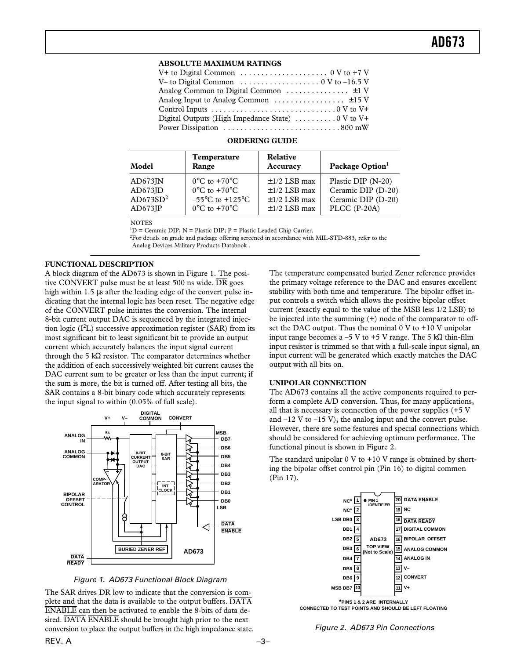#### **ABSOLUTE MAXIMUM RATINGS**

| V– to Digital Common $\dots \dots \dots \dots \dots \dots \dots \dots$ 0 V to -16.5 V |
|---------------------------------------------------------------------------------------|
|                                                                                       |
|                                                                                       |
|                                                                                       |
| Digital Outputs (High Impedance State) $\dots \dots \dots \dots \dots$                |
|                                                                                       |

#### **ORDERING GUIDE**

| Model                | Temperature<br>Range                 | Relative<br>Accuracy | Package Option <sup>1</sup> |
|----------------------|--------------------------------------|----------------------|-----------------------------|
| AD673IN              | $0^{\circ}$ C to $+70^{\circ}$ C     | $\pm$ 1/2 LSB max    | Plastic DIP (N-20)          |
| AD673JD              | $0^{\circ}$ C to $+70^{\circ}$ C     | $\pm$ 1/2 LSB max    | Ceramic DIP (D-20)          |
| AD673SD <sup>2</sup> | $-55^{\circ}$ C to +125 $^{\circ}$ C | $\pm$ 1/2 LSB max    | Ceramic DIP (D-20)          |
| $AD673$ JP           | $0^{\circ}$ C to +70 $^{\circ}$ C    | $\pm$ 1/2 LSB max    | PLCC (P-20A)                |

**NOTES** 

 ${}^{1}D$  = Ceramic DIP; N = Plastic DIP; P = Plastic Leaded Chip Carrier.

2 For details on grade and package offering screened in accordance with MIL-STD-883, refer to the

Analog Devices Military Products Databook .

#### **FUNCTIONAL DESCRIPTION**

A block diagram of the AD673 is shown in Figure 1. The positive CONVERT pulse must be at least 500 ns wide.  $\overline{DR}$  goes high within 1.5 µs after the leading edge of the convert pulse indicating that the internal logic has been reset. The negative edge of the CONVERT pulse initiates the conversion. The internal 8-bit current output DAC is sequenced by the integrated injection logic  $(I<sup>2</sup>L)$  successive approximation register (SAR) from its most significant bit to least significant bit to provide an output current which accurately balances the input signal current through the 5 k $\Omega$  resistor. The comparator determines whether the addition of each successively weighted bit current causes the DAC current sum to be greater or less than the input current; if the sum is more, the bit is turned off. After testing all bits, the SAR contains a 8-bit binary code which accurately represents the input signal to within (0.05% of full scale).



Figure 1. AD673 Functional Block Diagram

The SAR drives  $\overline{DR}$  low to indicate that the conversion is complete and that the data is available to the output buffers. DATA ENABLE can then be activated to enable the 8-bits of data desired. DATA ENABLE should be brought high prior to the next conversion to place the output buffers in the high impedance state. The temperature compensated buried Zener reference provides the primary voltage reference to the DAC and ensures excellent stability with both time and temperature. The bipolar offset input controls a switch which allows the positive bipolar offset current (exactly equal to the value of the MSB less 1/2 LSB) to be injected into the summing (+) node of the comparator to offset the DAC output. Thus the nominal  $0 \,$ V to  $+10 \,$ V unipolar input range becomes a –5 V to +5 V range. The 5 kΩ thin-film input resistor is trimmed so that with a full-scale input signal, an input current will be generated which exactly matches the DAC output with all bits on.

#### **UNIPOLAR CONNECTION**

The AD673 contains all the active components required to perform a complete A/D conversion. Thus, for many applications, all that is necessary is connection of the power supplies (+5 V and  $-12$  V to  $-15$  V), the analog input and the convert pulse. However, there are some features and special connections which should be considered for achieving optimum performance. The functional pinout is shown in Figure 2.

The standard unipolar  $0 \text{ V}$  to  $+10 \text{ V}$  range is obtained by shorting the bipolar offset control pin (Pin 16) to digital common (Pin 17).



**CONNECTED TO TEST POINTS AND SHOULD BE LEFT FLOATING**

Figure 2. AD673 Pin Connections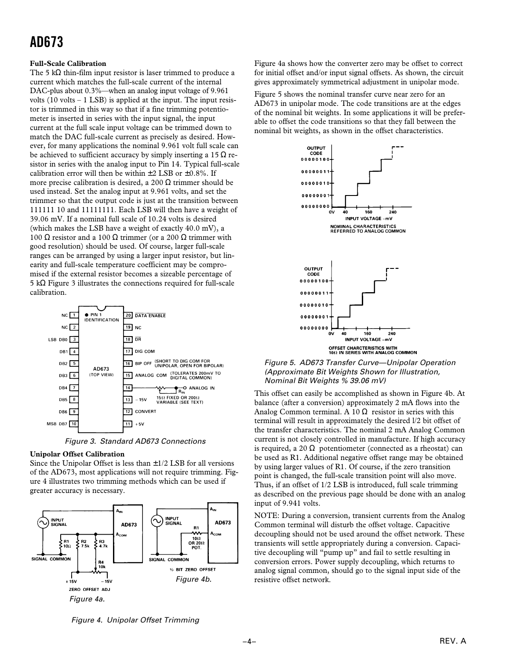## **AD673**

#### **Full-Scale Calibration**

The 5 k $\Omega$  thin-film input resistor is laser trimmed to produce a current which matches the full-scale current of the internal DAC-plus about 0.3%—when an analog input voltage of 9.961 volts  $(10 \text{ volts} - 1 \text{ LSB})$  is applied at the input. The input resistor is trimmed in this way so that if a fine trimming potentiometer is inserted in series with the input signal, the input current at the full scale input voltage can be trimmed down to match the DAC full-scale current as precisely as desired. However, for many applications the nominal 9.961 volt full scale can be achieved to sufficient accuracy by simply inserting a 15  $\Omega$  resistor in series with the analog input to Pin 14. Typical full-scale calibration error will then be within  $\pm 2$  LSB or  $\pm 0.8\%$ . If more precise calibration is desired, a 200 Ω trimmer should be used instead. Set the analog input at 9.961 volts, and set the trimmer so that the output code is just at the transition between 111111 10 and 11111111. Each LSB will then have a weight of 39.06 mV. If a nominal full scale of 10.24 volts is desired (which makes the LSB have a weight of exactly 40.0 mV), a 100 Ω resistor and a 100 Ω trimmer (or a 200 Ω trimmer with good resolution) should be used. Of course, larger full-scale ranges can be arranged by using a larger input resistor, but linearity and full-scale temperature coefficient may be compromised if the external resistor becomes a sizeable percentage of 5 kΩ Figure 3 illustrates the connections required for full-scale calibration.



Figure 3. Standard AD673 Connections

#### **Unipolar Offset Calibration**

Since the Unipolar Offset is less than  $\pm 1/2$  LSB for all versions of the AD673, most applications will not require trimming. Figure 4 illustrates two trimming methods which can be used if greater accuracy is necessary.



Figure 4a shows how the converter zero may be offset to correct for initial offset and/or input signal offsets. As shown, the circuit gives approximately symmetrical adjustment in unipolar mode.

Figure 5 shows the nominal transfer curve near zero for an AD673 in unipolar mode. The code transitions are at the edges of the nominal bit weights. In some applications it will be preferable to offset the code transitions so that they fall between the nominal bit weights, as shown in the offset characteristics.



Figure 5. AD673 Transfer Curve—Unipolar Operation (Approximate Bit Weights Shown for Illustration, Nominal Bit Weights % 39.06 mV)

This offset can easily be accomplished as shown in Figure 4b. At balance (after a conversion) approximately 2 mA flows into the Analog Common terminal. A 10  $\Omega$  resistor in series with this terminal will result in approximately the desired l/2 bit offset of the transfer characteristics. The nominal 2 mA Analog Common current is not closely controlled in manufacture. If high accuracy is required, a 20  $\Omega$  potentiometer (connected as a rheostat) can be used as R1. Additional negative offset range may be obtained by using larger values of R1. Of course, if the zero transition point is changed, the full-scale transition point will also move. Thus, if an offset of 1/2 LSB is introduced, full scale trimming as described on the previous page should be done with an analog input of 9.941 volts.

NOTE: During a conversion, transient currents from the Analog Common terminal will disturb the offset voltage. Capacitive decoupling should not be used around the offset network. These transients will settle appropriately during a conversion. Capacitive decoupling will "pump up" and fail to settle resulting in conversion errors. Power supply decoupling, which returns to analog signal common, should go to the signal input side of the resistive offset network.

Figure 4. Unipolar Offset Trimming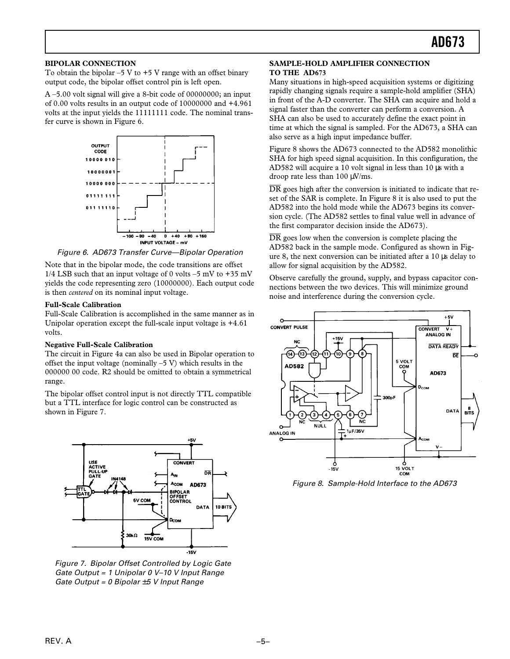#### **BIPOLAR CONNECTION**

To obtain the bipolar  $-5$  V to  $+5$  V range with an offset binary output code, the bipolar offset control pin is left open.

A –5.00 volt signal will give a 8-bit code of 00000000; an input of 0.00 volts results in an output code of 10000000 and +4.961 volts at the input yields the 11111111 code. The nominal transfer curve is shown in Figure 6.



Figure 6. AD673 Transfer Curve—Bipolar Operation

Note that in the bipolar mode, the code transitions are offset 1/4 LSB such that an input voltage of 0 volts  $-5$  mV to  $+35$  mV yields the code representing zero (10000000). Each output code is then *centered* on its nominal input voltage.

#### **Full-Scale Calibration**

Full-Scale Calibration is accomplished in the same manner as in Unipolar operation except the full-scale input voltage is +4.61 volts.

#### **Negative Full-Scale Calibration**

The circuit in Figure 4a can also be used in Bipolar operation to offset the input voltage (nominally  $-5$  V) which results in the 000000 00 code. R2 should be omitted to obtain a symmetrical range.

The bipolar offset control input is not directly TTL compatible but a TTL interface for logic control can be constructed as shown in Figure 7.



Figure 7. Bipolar Offset Controlled by Logic Gate Gate Output = 1 Unipolar 0 V–10 V Input Range Gate Output = 0 Bipolar  $\pm$ 5 V Input Range

#### **SAMPLE-HOLD AMPLIFIER CONNECTION TO THE AD673**

Many situations in high-speed acquisition systems or digitizing rapidly changing signals require a sample-hold amplifier (SHA) in front of the A-D converter. The SHA can acquire and hold a signal faster than the converter can perform a conversion. A SHA can also be used to accurately define the exact point in time at which the signal is sampled. For the AD673, a SHA can also serve as a high input impedance buffer.

Figure 8 shows the AD673 connected to the AD582 monolithic SHA for high speed signal acquisition. In this configuration, the AD582 will acquire a 10 volt signal in less than 10 µs with a droop rate less than 100 µV/ms.

 $\overline{DR}$  goes high after the conversion is initiated to indicate that reset of the SAR is complete. In Figure 8 it is also used to put the AD582 into the hold mode while the AD673 begins its conversion cycle. (The AD582 settles to final value well in advance of the first comparator decision inside the AD673).

 $\overline{DR}$  goes low when the conversion is complete placing the AD582 back in the sample mode. Configured as shown in Figure 8, the next conversion can be initiated after a 10 µs delay to allow for signal acquisition by the AD582.

Observe carefully the ground, supply, and bypass capacitor connections between the two devices. This will minimize ground noise and interference during the conversion cycle.



Figure 8. Sample-Hold Interface to the AD673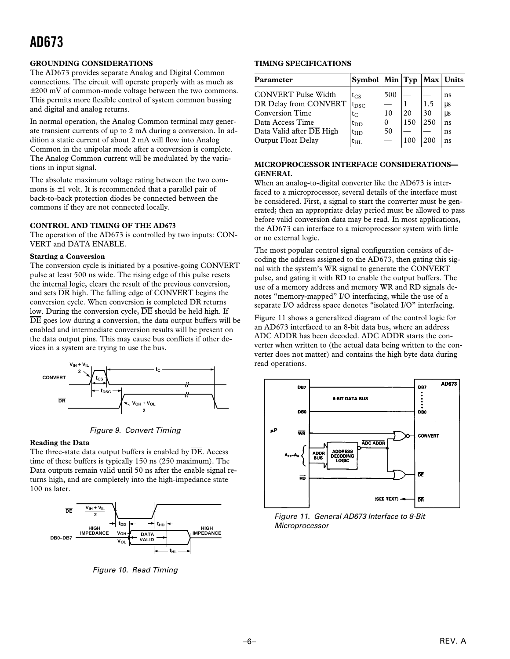## **AD673**

#### **GROUNDING CONSIDERATIONS**

The AD673 provides separate Analog and Digital Common connections. The circuit will operate properly with as much as ±200 mV of common-mode voltage between the two commons. This permits more flexible control of system common bussing and digital and analog returns.

In normal operation, the Analog Common terminal may generate transient currents of up to 2 mA during a conversion. In addition a static current of about 2 mA will flow into Analog Common in the unipolar mode after a conversion is complete. The Analog Common current will be modulated by the variations in input signal.

The absolute maximum voltage rating between the two commons is  $\pm 1$  volt. It is recommended that a parallel pair of back-to-back protection diodes be connected between the commons if they are not connected locally.

#### **CONTROL AND TIMING OF THE AD673**

The operation of the AD673 is controlled by two inputs: CON-VERT and DATA ENABLE.

#### **Starting a Conversion**

The conversion cycle is initiated by a positive-going CONVERT pulse at least 500 ns wide. The rising edge of this pulse resets the internal logic, clears the result of the previous conversion, and sets  $\overline{DR}$  high. The falling edge of CONVERT begins the conversion cycle. When conversion is completed  $\overline{DR}$  returns low. During the conversion cycle,  $\overline{\rm DE}$  should be held high. If  $\overline{DE}$  goes low during a conversion, the data output buffers will be enabled and intermediate conversion results will be present on the data output pins. This may cause bus conflicts if other devices in a system are trying to use the bus.



Figure 9. Convert Timing

#### **Reading the Data**

The three-state data output buffers is enabled by  $\overline{DE}$ . Access time of these buffers is typically 150 ns (250 maximum). The Data outputs remain valid until 50 ns after the enable signal returns high, and are completely into the high-impedance state 100 ns later.



Figure 10. Read Timing

#### **TIMING SPECIFICATIONS**

| <b>Parameter</b>           | Symbol $\vert$ Min $\vert$ Typ |          |     |     | Max  Units |
|----------------------------|--------------------------------|----------|-----|-----|------------|
| <b>CONVERT Pulse Width</b> | $t_{CS}$                       | 500      |     |     | ns         |
| DR Delay from CONVERT      | $t_{\rm DSC}$                  |          |     | 1.5 | μs         |
| <b>Conversion Time</b>     | $t_C$                          | 10       | 20  | 30  | LLS        |
| Data Access Time           | $t_{DD}$                       | $\theta$ | 150 | 250 | ns         |
| Data Valid after DE High   | $t_{HD}$                       | 50       |     |     | ns         |
| Output Float Delay         | $t_{\rm HI}$                   |          | 100 | 200 | ns         |

#### **MICROPROCESSOR INTERFACE CONSIDERATIONS— GENERAL**

When an analog-to-digital converter like the AD673 is interfaced to a microprocessor, several details of the interface must be considered. First, a signal to start the converter must be generated; then an appropriate delay period must be allowed to pass before valid conversion data may be read. In most applications, the AD673 can interface to a microprocessor system with little or no external logic.

The most popular control signal configuration consists of decoding the address assigned to the AD673, then gating this signal with the system's WR signal to generate the CONVERT pulse, and gating it with RD to enable the output buffers. The use of a memory address and memory WR and RD signals denotes "memory-mapped" I/O interfacing, while the use of a separate I/O address space denotes "isolated I/O" interfacing.

Figure 11 shows a generalized diagram of the control logic for an AD673 interfaced to an 8-bit data bus, where an address ADC ADDR has been decoded. ADC ADDR starts the converter when written to (the actual data being written to the converter does not matter) and contains the high byte data during read operations.



Figure 11. General AD673 Interface to 8-Bit **Microprocessor**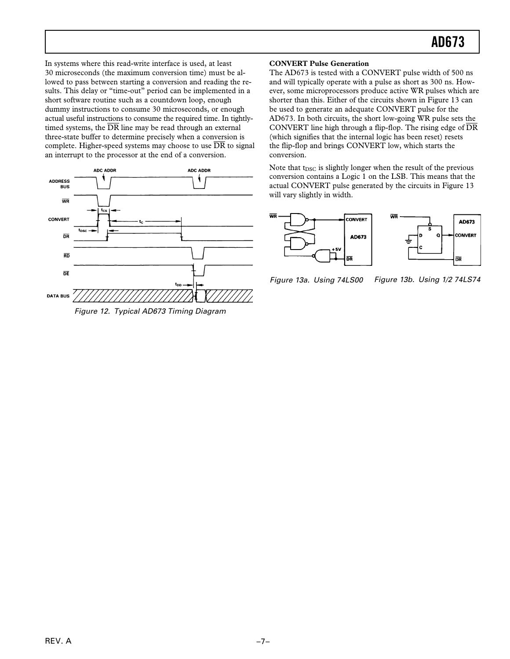In systems where this read-write interface is used, at least 30 microseconds (the maximum conversion time) must be allowed to pass between starting a conversion and reading the results. This delay or "time-out" period can be implemented in a short software routine such as a countdown loop, enough dummy instructions to consume 30 microseconds, or enough actual useful instructions to consume the required time. In tightlytimed systems, the  $\overline{DR}$  line may be read through an external three-state buffer to determine precisely when a conversion is complete. Higher-speed systems may choose to use  $\overline{DR}$  to signal an interrupt to the processor at the end of a conversion.



Figure 12. Typical AD673 Timing Diagram

#### **CONVERT Pulse Generation**

The AD673 is tested with a CONVERT pulse width of 500 ns and will typically operate with a pulse as short as 300 ns. However, some microprocessors produce active WR pulses which are shorter than this. Either of the circuits shown in Figure 13 can be used to generate an adequate CONVERT pulse for the AD673. In both circuits, the short low-going WR pulse sets the CONVERT line high through a flip-flop. The rising edge of  $\overline{DR}$ (which signifies that the internal logic has been reset) resets the flip-flop and brings CONVERT low, which starts the conversion.

Note that t<sub>DSC</sub> is slightly longer when the result of the previous conversion contains a Logic 1 on the LSB. This means that the actual CONVERT pulse generated by the circuits in Figure 13 will vary slightly in width.



Figure 13a. Using 74LS00 Figure 13b. Using 1/2 74LS74